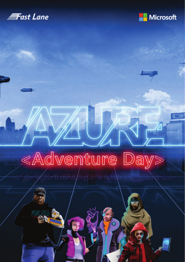



# <Adventure Day>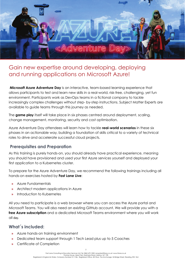

## Gain new expertise around developing, deploying and running applications on Microsoft Azure!

**Microsoft Azure Adventure Day** is an interactive, team-based learning experience that allows participants to test and learn new skills in a real-world, risk-free, challenging, yet fun environment. Participants work as DevOps teams in a fictional company to tackle increasingly complex challenges without step- by-step instructions. Subject Matter Experts are available to guide teams through this journey as needed.

The **game play** itself will take place in six phases centred around deployment, scaling, change management, monitoring, security and cost optimisation.

Azure Adventure Day attendees will learn how to tackle **real-world scenarios** in these six phases in an actionable way, building a foundation of skills critical to a variety of technical roles to drive and accelerate successful cloud projects.

### **Prerequisites and Preparation**

As this training is purely hands-on, you should already have practical experience, meaning you should have provisioned and used your first Azure services yourself and deployed your first application to a Kubernetes cluster.

To prepare for the Azure Adventure Day, we recommend the following trainings including all hands-on exercises hosted by **Fast Lane Live**:

- **»** Azure Fundamentals
- **»** Architect modern applications in Azure
- **»** Introduction to Kubernetes

All you need to participate is a web browser where you can access the Azure portal and Microsoft Teams. You will also need an existing GitHub account. We will provide you with a **free Azure subscription** and a dedicated Microsoft Teams environment where you will work all day.

#### **What´s included:**

- **»** Azure hands-on training environment
- **»** Dedicated team support through 1 Tech Lead plus up to 5 Coaches
- **»** Certificate of Completion